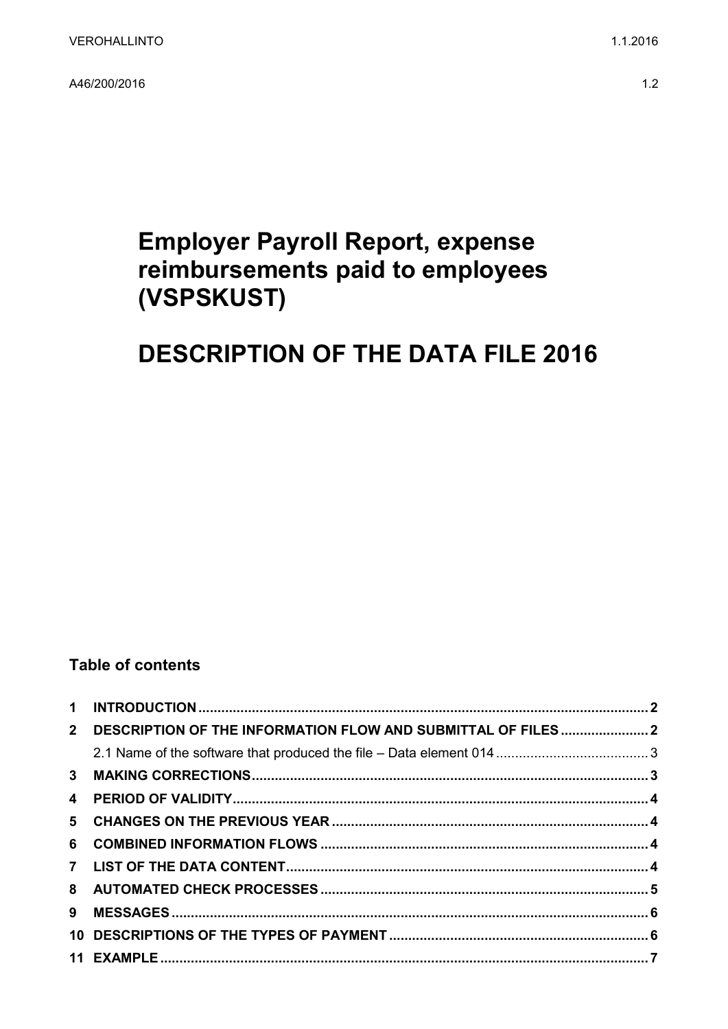A46/200/2016

# **Employer Payroll Report, expense** reimbursements paid to employees (VSPSKUST)

# **DESCRIPTION OF THE DATA FILE 2016**

### **Table of contents**

| 2 DESCRIPTION OF THE INFORMATION FLOW AND SUBMITTAL OF FILES2 |  |
|---------------------------------------------------------------|--|
|                                                               |  |
|                                                               |  |
|                                                               |  |
|                                                               |  |
|                                                               |  |
|                                                               |  |
|                                                               |  |
|                                                               |  |
|                                                               |  |
|                                                               |  |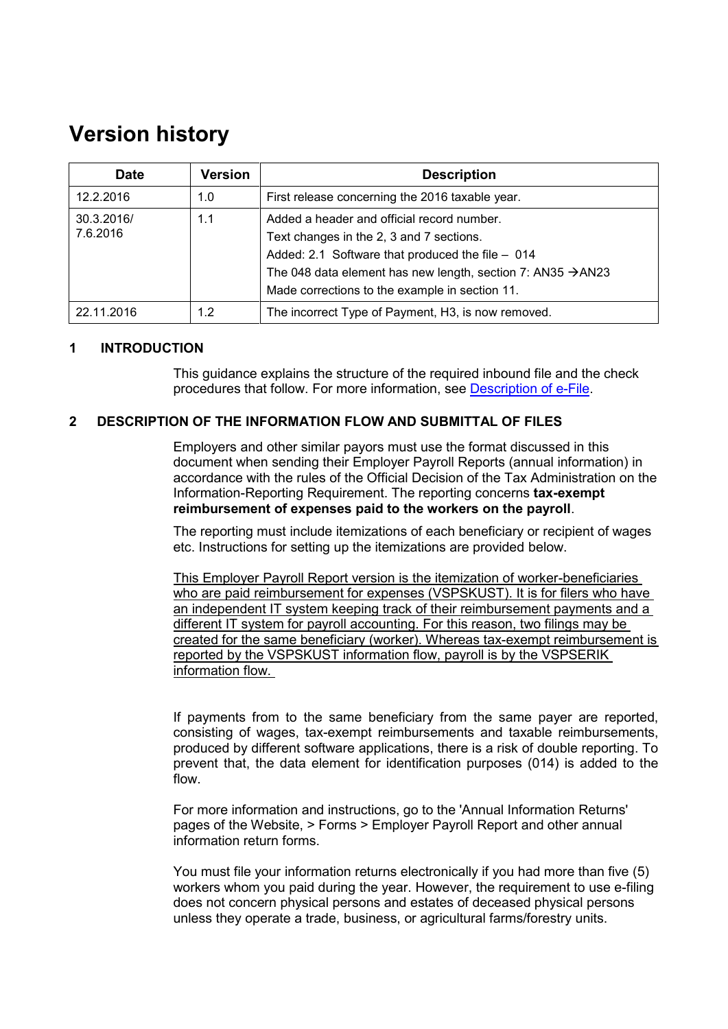## **Version history**

| <b>Date</b>                   | <b>Version</b> | <b>Description</b>                                                                                                                                                                                                                                                      |
|-------------------------------|----------------|-------------------------------------------------------------------------------------------------------------------------------------------------------------------------------------------------------------------------------------------------------------------------|
| 12.2.2016                     | 1.0            | First release concerning the 2016 taxable year.                                                                                                                                                                                                                         |
| 30.3.2016/<br>1.1<br>7.6.2016 |                | Added a header and official record number.<br>Text changes in the 2, 3 and 7 sections.<br>Added: 2.1 Software that produced the file - 014<br>The 048 data element has new length, section 7: AN35 $\rightarrow$ AN23<br>Made corrections to the example in section 11. |
| 22.11.2016                    | 1.2            | The incorrect Type of Payment, H3, is now removed.                                                                                                                                                                                                                      |

#### <span id="page-1-0"></span>**1 INTRODUCTION**

This guidance explains the structure of the required inbound file and the check procedures that follow. For more information, see [Description of e-File.](http://www.vero.fi/download/Sahkoisen_ilmoittamisen_yleiskuvaus_ENGL20/%7B956D482C-4A28-48D2-BE25-00112D97AE00%7D/12064)

#### <span id="page-1-1"></span>**2 DESCRIPTION OF THE INFORMATION FLOW AND SUBMITTAL OF FILES**

Employers and other similar payors must use the format discussed in this document when sending their Employer Payroll Reports (annual information) in accordance with the rules of the Official Decision of the Tax Administration on the Information-Reporting Requirement. The reporting concerns **tax-exempt reimbursement of expenses paid to the workers on the payroll**.

The reporting must include itemizations of each beneficiary or recipient of wages etc. Instructions for setting up the itemizations are provided below.

This Employer Payroll Report version is the itemization of worker-beneficiaries who are paid reimbursement for expenses (VSPSKUST). It is for filers who have an independent IT system keeping track of their reimbursement payments and a different IT system for payroll accounting. For this reason, two filings may be created for the same beneficiary (worker). Whereas tax-exempt reimbursement is reported by the VSPSKUST information flow, payroll is by the VSPSERIK information flow.

If payments from to the same beneficiary from the same payer are reported, consisting of wages, tax-exempt reimbursements and taxable reimbursements, produced by different software applications, there is a risk of double reporting. To prevent that, the data element for identification purposes (014) is added to the flow.

For more information and instructions, go to the 'Annual Information Returns' pages of the Website, > Forms > Employer Payroll Report and other annual information return forms.

You must file your information returns electronically if you had more than five (5) workers whom you paid during the year. However, the requirement to use e-filing does not concern physical persons and estates of deceased physical persons unless they operate a trade, business, or agricultural farms/forestry units.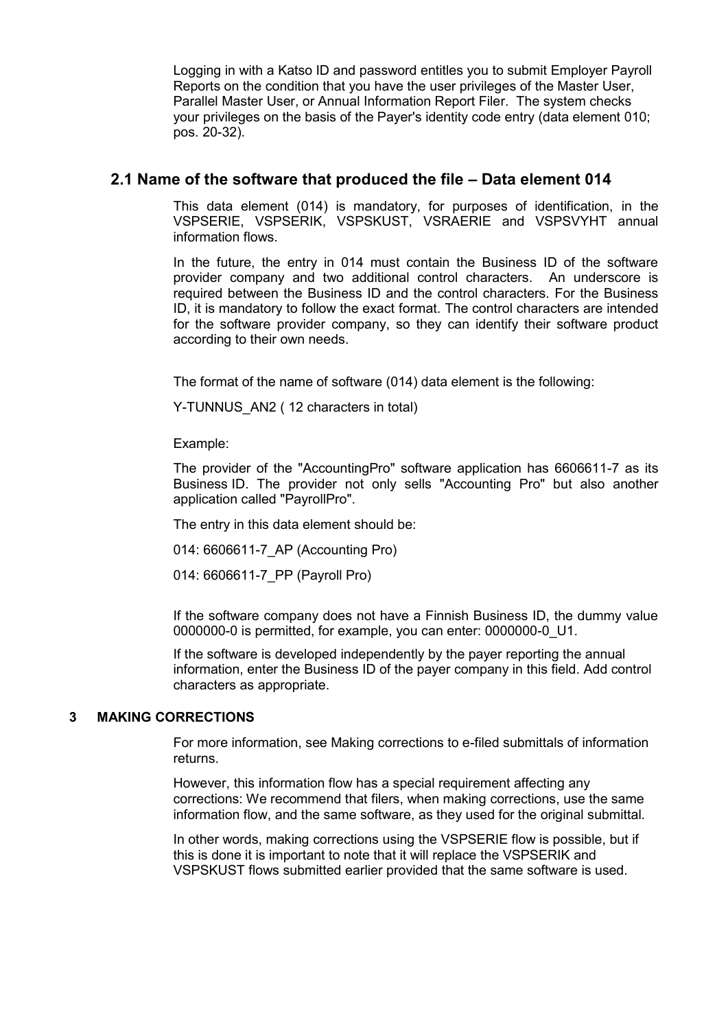Logging in with a Katso ID and password entitles you to submit Employer Payroll Reports on the condition that you have the user privileges of the Master User, Parallel Master User, or Annual Information Report Filer. The system checks your privileges on the basis of the Payer's identity code entry (data element 010; pos. 20-32).

#### <span id="page-2-0"></span>**2.1 Name of the software that produced the file – Data element 014**

This data element (014) is mandatory, for purposes of identification, in the VSPSERIE, VSPSERIK, VSPSKUST, VSRAERIE and VSPSVYHT annual information flows.

In the future, the entry in 014 must contain the Business ID of the software provider company and two additional control characters. An underscore is required between the Business ID and the control characters. For the Business ID, it is mandatory to follow the exact format. The control characters are intended for the software provider company, so they can identify their software product according to their own needs.

The format of the name of software (014) data element is the following:

Y-TUNNUS AN2 ( 12 characters in total)

Example:

The provider of the "AccountingPro" software application has 6606611-7 as its Business ID. The provider not only sells "Accounting Pro" but also another application called "PayrollPro".

The entry in this data element should be:

014: 6606611-7\_AP (Accounting Pro)

014: 6606611-7\_PP (Payroll Pro)

If the software company does not have a Finnish Business ID, the dummy value 0000000-0 is permitted, for example, you can enter: 0000000-0\_U1.

If the software is developed independently by the payer reporting the annual information, enter the Business ID of the payer company in this field. Add control characters as appropriate.

#### <span id="page-2-1"></span>**3 MAKING CORRECTIONS**

For more information, see Making corrections to e-filed submittals of information returns.

However, this information flow has a special requirement affecting any corrections: We recommend that filers, when making corrections, use the same information flow, and the same software, as they used for the original submittal.

In other words, making corrections using the VSPSERIE flow is possible, but if this is done it is important to note that it will replace the VSPSERIK and VSPSKUST flows submitted earlier provided that the same software is used.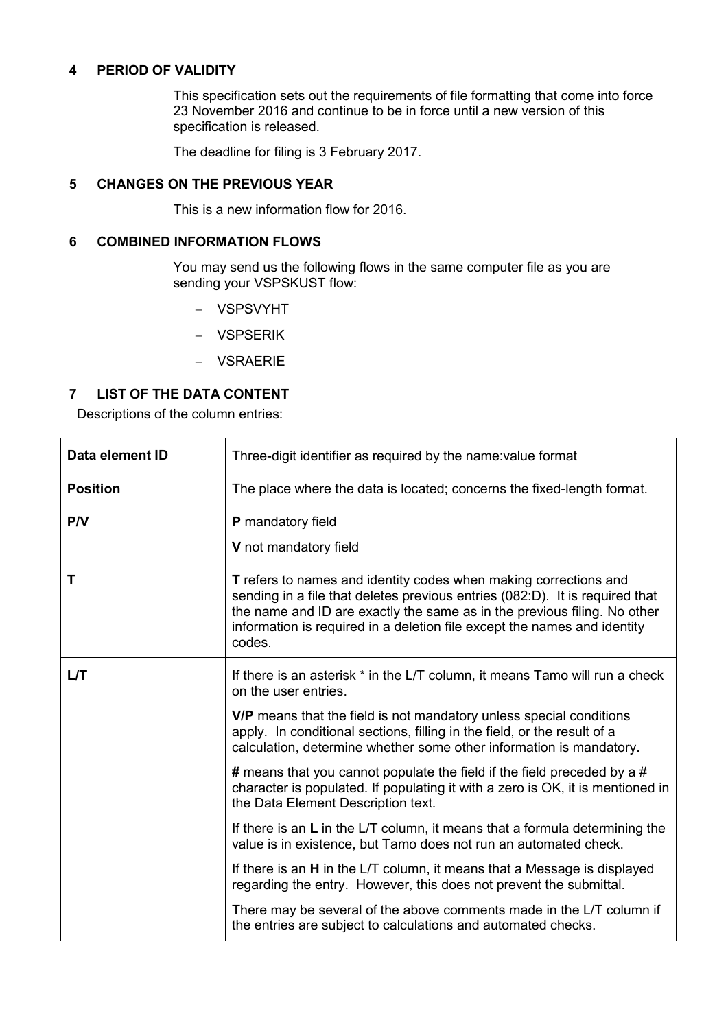#### <span id="page-3-0"></span>**4 PERIOD OF VALIDITY**

This specification sets out the requirements of file formatting that come into force 23 November 2016 and continue to be in force until a new version of this specification is released.

The deadline for filing is 3 February 2017.

#### <span id="page-3-1"></span>**5 CHANGES ON THE PREVIOUS YEAR**

This is a new information flow for 2016.

#### <span id="page-3-2"></span>**6 COMBINED INFORMATION FLOWS**

You may send us the following flows in the same computer file as you are sending your VSPSKUST flow:

- VSPSVYHT
- VSPSERIK
- VSRAERIE

#### <span id="page-3-3"></span>**7 LIST OF THE DATA CONTENT**

Descriptions of the column entries:

| Data element ID | Three-digit identifier as required by the name: value format                                                                                                                                                                                                                                                              |  |  |
|-----------------|---------------------------------------------------------------------------------------------------------------------------------------------------------------------------------------------------------------------------------------------------------------------------------------------------------------------------|--|--|
| <b>Position</b> | The place where the data is located; concerns the fixed-length format.                                                                                                                                                                                                                                                    |  |  |
| P/V             | P mandatory field                                                                                                                                                                                                                                                                                                         |  |  |
|                 | V not mandatory field                                                                                                                                                                                                                                                                                                     |  |  |
| Т               | <b>T</b> refers to names and identity codes when making corrections and<br>sending in a file that deletes previous entries (082:D). It is required that<br>the name and ID are exactly the same as in the previous filing. No other<br>information is required in a deletion file except the names and identity<br>codes. |  |  |
| L/T             | If there is an asterisk * in the L/T column, it means Tamo will run a check<br>on the user entries.                                                                                                                                                                                                                       |  |  |
|                 | V/P means that the field is not mandatory unless special conditions<br>apply. In conditional sections, filling in the field, or the result of a<br>calculation, determine whether some other information is mandatory.                                                                                                    |  |  |
|                 | # means that you cannot populate the field if the field preceded by a #<br>character is populated. If populating it with a zero is OK, it is mentioned in<br>the Data Element Description text.                                                                                                                           |  |  |
|                 | If there is an L in the L/T column, it means that a formula determining the<br>value is in existence, but Tamo does not run an automated check.                                                                                                                                                                           |  |  |
|                 | If there is an H in the L/T column, it means that a Message is displayed<br>regarding the entry. However, this does not prevent the submittal.                                                                                                                                                                            |  |  |
|                 | There may be several of the above comments made in the L/T column if<br>the entries are subject to calculations and automated checks.                                                                                                                                                                                     |  |  |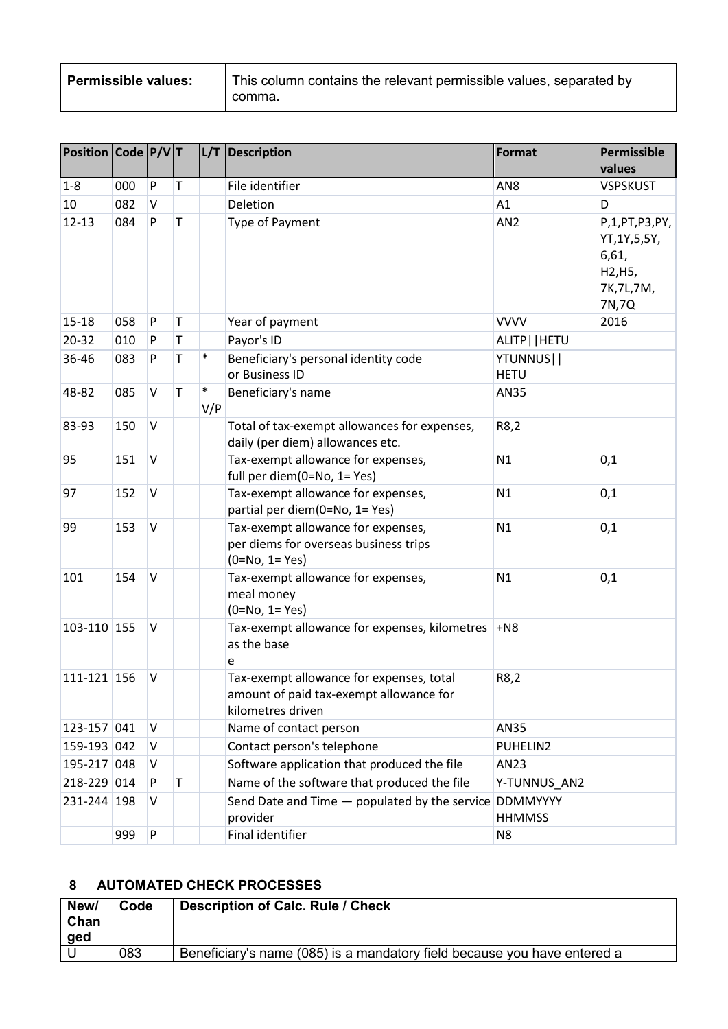| <b>Permissible values:</b> | This column contains the relevant permissible values, separated by |  |
|----------------------------|--------------------------------------------------------------------|--|
|                            | comma.                                                             |  |

| Position Code P/VT |     |           |             |               | $L/T$ Description                                                                                        | Format                           | Permissible<br>values                                                       |
|--------------------|-----|-----------|-------------|---------------|----------------------------------------------------------------------------------------------------------|----------------------------------|-----------------------------------------------------------------------------|
| $1-8$              | 000 | P         | T           |               | File identifier                                                                                          | AN <sub>8</sub>                  | <b>VSPSKUST</b>                                                             |
| 10                 | 082 | V         |             |               | Deletion                                                                                                 | A1                               | D                                                                           |
| $12 - 13$          | 084 | P         | $\mathsf T$ |               | Type of Payment                                                                                          | AN <sub>2</sub>                  | P,1,PT,P3,PY,<br>YT, 1Y, 5, 5Y,<br>6,61,<br>H2, H5,<br>7K, 7L, 7M,<br>7N,7Q |
| $15 - 18$          | 058 | P         | $\mathsf T$ |               | Year of payment                                                                                          | <b>VVVV</b>                      | 2016                                                                        |
| $20 - 32$          | 010 | P         | T           |               | Payor's ID                                                                                               | ALITP     HETU                   |                                                                             |
| 36-46              | 083 | P         | $\mathsf T$ | $\ast$        | Beneficiary's personal identity code<br>or Business ID                                                   | YTUNNUS  <br><b>HETU</b>         |                                                                             |
| 48-82              | 085 | V         | $\mathsf T$ | $\ast$<br>V/P | Beneficiary's name                                                                                       | AN35                             |                                                                             |
| 83-93              | 150 | $\vee$    |             |               | Total of tax-exempt allowances for expenses,<br>daily (per diem) allowances etc.                         | R8,2                             |                                                                             |
| 95                 | 151 | V         |             |               | Tax-exempt allowance for expenses,<br>full per diem(0=No, 1= Yes)                                        | N1                               | 0,1                                                                         |
| 97                 | 152 | V         |             |               | Tax-exempt allowance for expenses,<br>partial per diem(0=No, 1= Yes)                                     | N1                               | 0,1                                                                         |
| 99                 | 153 | $\vee$    |             |               | Tax-exempt allowance for expenses,<br>per diems for overseas business trips<br>$(0=No, 1=Yes)$           | N1                               | 0,1                                                                         |
| 101                | 154 | V         |             |               | Tax-exempt allowance for expenses,<br>meal money<br>$(0=No, 1=Yes)$                                      | N1                               | 0,1                                                                         |
| 103-110 155        |     | V         |             |               | Tax-exempt allowance for expenses, kilometres<br>as the base<br>e                                        | $+NS$                            |                                                                             |
| 111-121 156        |     | V         |             |               | Tax-exempt allowance for expenses, total<br>amount of paid tax-exempt allowance for<br>kilometres driven | R8,2                             |                                                                             |
| 123-157 041        |     | V         |             |               | Name of contact person                                                                                   | AN35                             |                                                                             |
| 159-193 042        |     | V         |             |               | Contact person's telephone                                                                               | PUHELIN2                         |                                                                             |
| 195-217 048        |     | V         |             |               | Software application that produced the file                                                              | AN23                             |                                                                             |
| 218-229 014        |     | P         | T           |               | Name of the software that produced the file                                                              | Y-TUNNUS_AN2                     |                                                                             |
| 231-244 198        |     | v         |             |               | Send Date and Time - populated by the service<br>provider                                                | <b>DDMMYYYY</b><br><b>HHMMSS</b> |                                                                             |
|                    | 999 | ${\sf P}$ |             |               | Final identifier                                                                                         | N <sub>8</sub>                   |                                                                             |

### <span id="page-4-0"></span>**8 AUTOMATED CHECK PROCESSES**

| New/<br>Chan<br><u>ged</u> | Code | Description of Calc. Rule / Check                                        |
|----------------------------|------|--------------------------------------------------------------------------|
|                            | 083  | Beneficiary's name (085) is a mandatory field because you have entered a |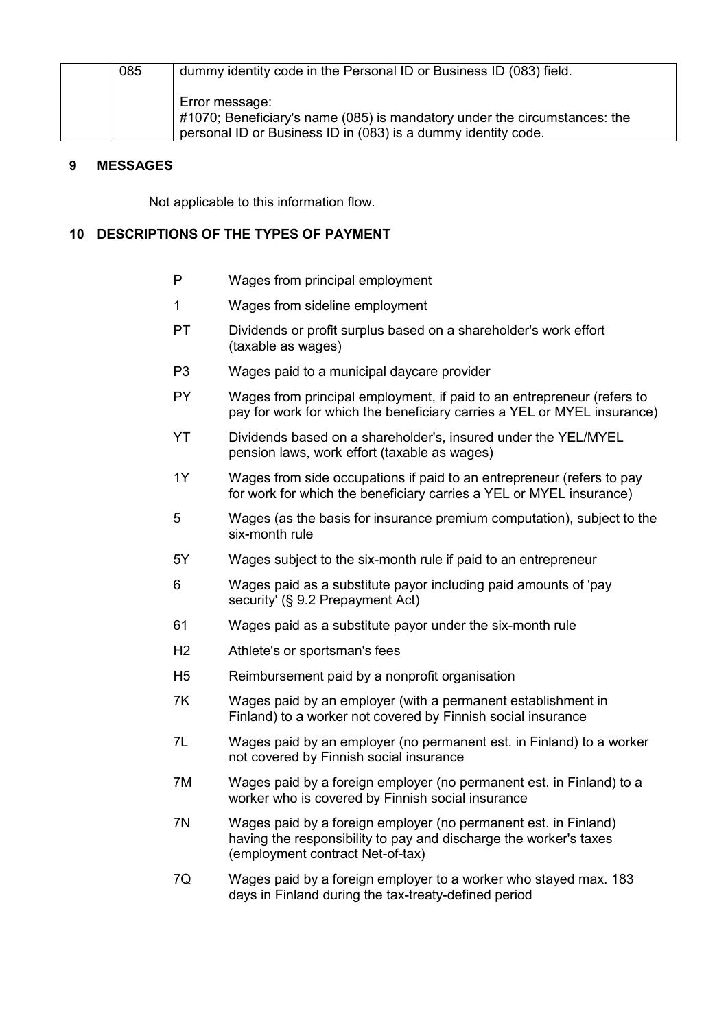| 085 | dummy identity code in the Personal ID or Business ID (083) field.        |
|-----|---------------------------------------------------------------------------|
|     |                                                                           |
|     |                                                                           |
|     |                                                                           |
|     | Error message:                                                            |
|     |                                                                           |
|     | #1070; Beneficiary's name (085) is mandatory under the circumstances: the |
|     |                                                                           |
|     | personal ID or Business ID in (083) is a dummy identity code.             |
|     |                                                                           |

#### <span id="page-5-0"></span>**9 MESSAGES**

Not applicable to this information flow.

#### <span id="page-5-1"></span>**10 DESCRIPTIONS OF THE TYPES OF PAYMENT**

- P Wages from principal employment
- 1 Wages from sideline employment
- PT Dividends or profit surplus based on a shareholder's work effort (taxable as wages)
- P3 Wages paid to a municipal daycare provider
- PY Wages from principal employment, if paid to an entrepreneur (refers to pay for work for which the beneficiary carries a YEL or MYEL insurance)
- YT Dividends based on a shareholder's, insured under the YEL/MYEL pension laws, work effort (taxable as wages)
- 1Y Wages from side occupations if paid to an entrepreneur (refers to pay for work for which the beneficiary carries a YEL or MYEL insurance)
- 5 Wages (as the basis for insurance premium computation), subject to the six-month rule
- 5Y Wages subject to the six-month rule if paid to an entrepreneur
- 6 Wages paid as a substitute payor including paid amounts of 'pay security' (§ 9.2 Prepayment Act)
- 61 Wages paid as a substitute payor under the six-month rule
- H2 Athlete's or sportsman's fees
- H5 Reimbursement paid by a nonprofit organisation
- 7K Wages paid by an employer (with a permanent establishment in Finland) to a worker not covered by Finnish social insurance
- 7L Wages paid by an employer (no permanent est. in Finland) to a worker not covered by Finnish social insurance
- 7M Wages paid by a foreign employer (no permanent est. in Finland) to a worker who is covered by Finnish social insurance
- 7N Wages paid by a foreign employer (no permanent est. in Finland) having the responsibility to pay and discharge the worker's taxes (employment contract Net-of-tax)
- 7Q Wages paid by a foreign employer to a worker who stayed max. 183 days in Finland during the tax-treaty-defined period